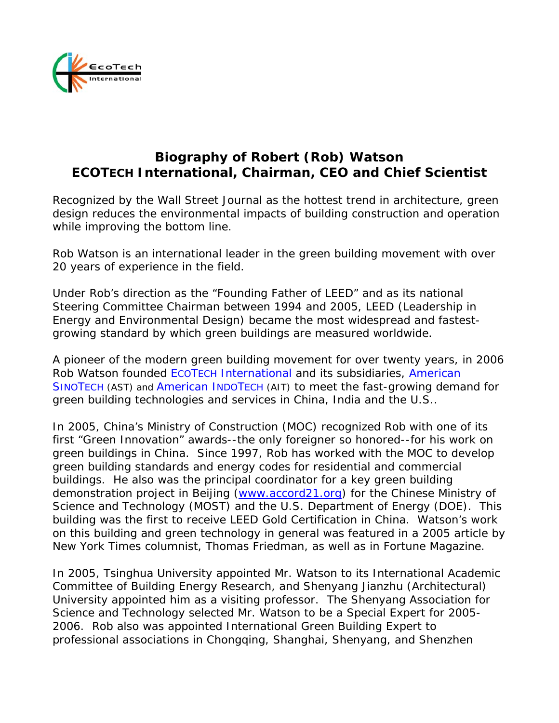

## **Biography of Robert (Rob) Watson ECOTECH International, Chairman, CEO and Chief Scientist**

Recognized by the Wall Street Journal as the hottest trend in architecture, green design reduces the environmental impacts of building construction and operation while improving the bottom line.

Rob Watson is an international leader in the green building movement with over 20 years of experience in the field.

Under Rob's direction as the "Founding Father of LEED" and as its national Steering Committee Chairman between 1994 and 2005, LEED (Leadership in Energy and Environmental Design) became the most widespread and fastestgrowing standard by which green buildings are measured worldwide.

A pioneer of the modern green building movement for over twenty years, in 2006 Rob Watson founded ECOTECH International and its subsidiaries, American SINOTECH (AST) and American INDOTECH (AIT) to meet the fast-growing demand for green building technologies and services in China, India and the U.S..

In 2005, China's Ministry of Construction (MOC) recognized Rob with one of its first "Green Innovation" awards--the only foreigner so honored--for his work on green buildings in China. Since 1997, Rob has worked with the MOC to develop green building standards and energy codes for residential and commercial buildings. He also was the principal coordinator for a key green building demonstration project in Beijing [\(www.accord21.org](http://www.accord21.org/)) for the Chinese Ministry of Science and Technology (MOST) and the U.S. Department of Energy (DOE). This building was the first to receive LEED Gold Certification in China. Watson's work on this building and green technology in general was featured in a 2005 article by New York Times columnist, Thomas Friedman, as well as in Fortune Magazine.

In 2005, Tsinghua University appointed Mr. Watson to its International Academic Committee of Building Energy Research, and Shenyang Jianzhu (Architectural) University appointed him as a visiting professor. The Shenyang Association for Science and Technology selected Mr. Watson to be a Special Expert for 2005- 2006. Rob also was appointed International Green Building Expert to professional associations in Chongqing, Shanghai, Shenyang, and Shenzhen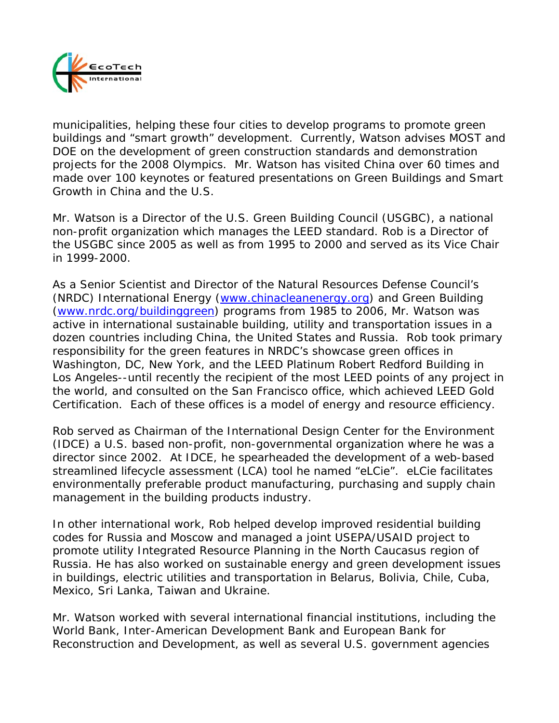

municipalities, helping these four cities to develop programs to promote green buildings and "smart growth" development. Currently, Watson advises MOST and DOE on the development of green construction standards and demonstration projects for the 2008 Olympics. Mr. Watson has visited China over 60 times and made over 100 keynotes or featured presentations on Green Buildings and Smart Growth in China and the U.S.

Mr. Watson is a Director of the U.S. Green Building Council (USGBC), a national non-profit organization which manages the LEED standard. Rob is a Director of the USGBC since 2005 as well as from 1995 to 2000 and served as its Vice Chair in 1999-2000.

As a Senior Scientist and Director of the Natural Resources Defense Council's (NRDC) International Energy [\(www.chinacleanenergy.org\)](http://www.chinacleanenergy.org/) and Green Building [\(www.nrdc.org/buildinggreen\)](http://www.nrdc.org/buildinggreen) programs from 1985 to 2006, Mr. Watson was active in international sustainable building, utility and transportation issues in a dozen countries including China, the United States and Russia. Rob took primary responsibility for the green features in NRDC's showcase green offices in Washington, DC, New York, and the LEED Platinum Robert Redford Building in Los Angeles--until recently the recipient of the most LEED points of any project in the world, and consulted on the San Francisco office, which achieved LEED Gold Certification. Each of these offices is a model of energy and resource efficiency.

Rob served as Chairman of the International Design Center for the Environment (IDCE) a U.S. based non-profit, non-governmental organization where he was a director since 2002. At IDCE, he spearheaded the development of a web-based streamlined lifecycle assessment (LCA) tool he named "eLCie". eLCie facilitates environmentally preferable product manufacturing, purchasing and supply chain management in the building products industry.

In other international work, Rob helped develop improved residential building codes for Russia and Moscow and managed a joint USEPA/USAID project to promote utility Integrated Resource Planning in the North Caucasus region of Russia. He has also worked on sustainable energy and green development issues in buildings, electric utilities and transportation in Belarus, Bolivia, Chile, Cuba, Mexico, Sri Lanka, Taiwan and Ukraine.

Mr. Watson worked with several international financial institutions, including the World Bank, Inter-American Development Bank and European Bank for Reconstruction and Development, as well as several U.S. government agencies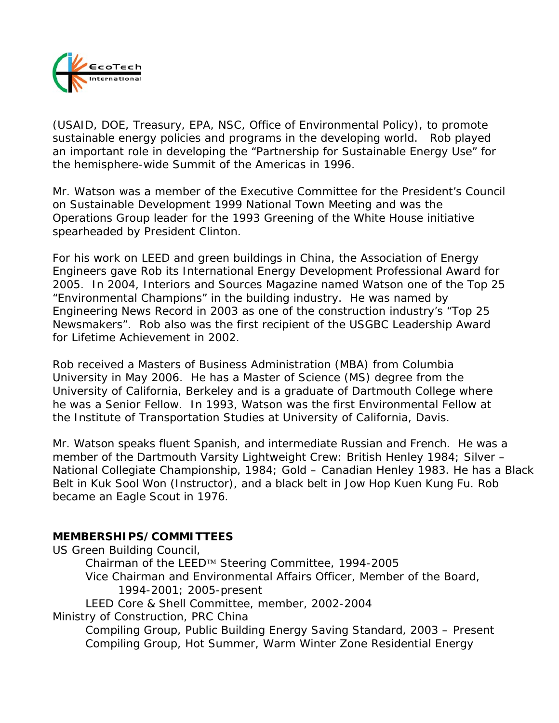

(USAID, DOE, Treasury, EPA, NSC, Office of Environmental Policy), to promote sustainable energy policies and programs in the developing world. Rob played an important role in developing the "Partnership for Sustainable Energy Use" for the hemisphere-wide Summit of the Americas in 1996.

Mr. Watson was a member of the Executive Committee for the President's Council on Sustainable Development 1999 National Town Meeting and was the Operations Group leader for the 1993 Greening of the White House initiative spearheaded by President Clinton.

For his work on LEED and green buildings in China, the Association of Energy Engineers gave Rob its International Energy Development Professional Award for 2005. In 2004, Interiors and Sources Magazine named Watson one of the Top 25 "Environmental Champions" in the building industry. He was named by Engineering News Record in 2003 as one of the construction industry's "Top 25 Newsmakers". Rob also was the first recipient of the USGBC Leadership Award for Lifetime Achievement in 2002.

Rob received a Masters of Business Administration (MBA) from Columbia University in May 2006. He has a Master of Science (MS) degree from the University of California, Berkeley and is a graduate of Dartmouth College where he was a Senior Fellow. In 1993, Watson was the first Environmental Fellow at the Institute of Transportation Studies at University of California, Davis.

Mr. Watson speaks fluent Spanish, and intermediate Russian and French. He was a member of the Dartmouth Varsity Lightweight Crew: British Henley 1984; Silver – National Collegiate Championship, 1984; Gold – Canadian Henley 1983. He has a Black Belt in Kuk Sool Won (Instructor), and a black belt in Jow Hop Kuen Kung Fu. Rob *became* an Eagle Scout in 1976*.* 

## **MEMBERSHIPS/COMMITTEES**

*US Green Building Council,* 

 Chairman of the LEED™ Steering Committee, 1994-2005 Vice Chairman and Environmental Affairs Officer, Member of the Board, 1994-2001; 2005-present LEED Core & Shell Committee, member, 2002-2004 *Ministry of Construction, PRC China*  Compiling Group, Public Building Energy Saving Standard, 2003 – Present

Compiling Group, Hot Summer, Warm Winter Zone Residential Energy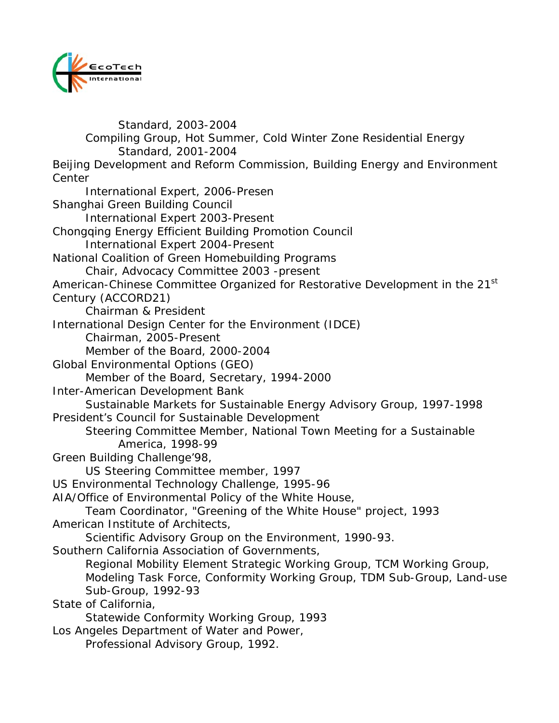

Standard, 2003-2004 Compiling Group, Hot Summer, Cold Winter Zone Residential Energy Standard, 2001-2004 *Beijing Development and Reform Commission, Building Energy and Environment Center*  International Expert, 2006-Presen *Shanghai Green Building Council*  International Expert 2003-Present *Chongqing Energy Efficient Building Promotion Council*  International Expert 2004-Present National Coalition of Green Homebuilding Programs Chair, Advocacy Committee 2003 -present *American-Chinese Committee Organized for Restorative Development in the 21st Century (ACCORD21)*  Chairman & President *International Design Center for the Environment (IDCE)*  Chairman, 2005-Present Member of the Board, 2000-2004 *Global Environmental Options (GEO)*  Member of the Board, Secretary, 1994-2000 *Inter-American Development Bank*  Sustainable Markets for Sustainable Energy Advisory Group, 1997-1998 *President's Council for Sustainable Development* Steering Committee Member, National Town Meeting for a Sustainable America, 1998-99 *Green Building Challenge'98*, US Steering Committee member, 1997 *US Environmental Technology Challenge*, 1995-96 *AIA/Office of Environmental Policy of the White House*, Team Coordinator, "Greening of the White House" project, 1993 *American Institute of Architects*, Scientific Advisory Group on the Environment, 1990-93. *Southern California Association of Governments*, Regional Mobility Element Strategic Working Group, TCM Working Group, Modeling Task Force, Conformity Working Group, TDM Sub-Group, Land-use Sub-Group, 1992-93 *State of California*, Statewide Conformity Working Group, 1993 *Los Angeles Department of Water and Power*,

Professional Advisory Group, 1992.